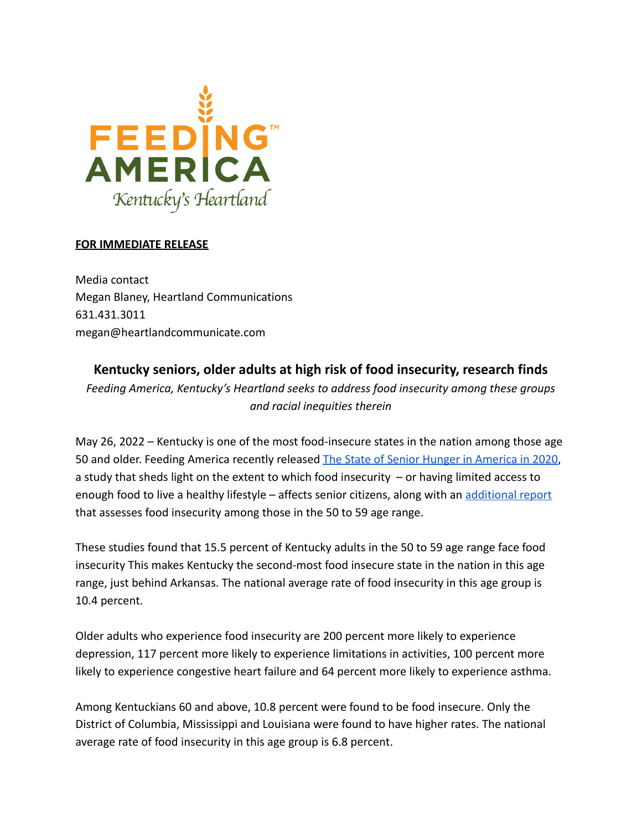

## **FOR IMMEDIATE RELEASE**

Media contact Megan Blaney, Heartland Communications 631.431.3011 megan@heartlandcommunicate.com

## **Kentucky seniors, older adults at high risk of food insecurity, research finds**

*Feeding America, Kentucky's Heartland seeks to address food insecurity among these groups and racial inequities therein*

May 26, 2022 – Kentucky is one of the most food-insecure states in the nation among those age 50 and older. Feeding America recently released The [State of Senior Hunger in America in 2020](https://www.feedingamerica.org/sites/default/files/2022-05/The%20State%20of%20Senior%20Hunger%20in%202020_Full%20Report%20w%20Cover.pdf), a study that sheds light on the extent to which food insecurity  $-$  or having limited access to enough food to live a healthy lifestyle – affects senior citizens, along with an [additional report](https://www.feedingamerica.org/sites/default/files/2022-05/Hunger%20Among%20Adults%20Age%2050-59%20in%202020_Full%20Report%20w%20Cover_1.pdf) that assesses food insecurity among those in the 50 to 59 age range.

These studies found that 15.5 percent of Kentucky adults in the 50 to 59 age range face food insecurity This makes Kentucky the second-most food insecure state in the nation in this age range, just behind Arkansas. The national average rate of food insecurity in this age group is 10.4 percent.

Older adults who experience food insecurity are 200 percent more likely to experience depression, 117 percent more likely to experience limitations in activities, 100 percent more likely to experience congestive heart failure and 64 percent more likely to experience asthma.

Among Kentuckians 60 and above, 10.8 percent were found to be food insecure. Only the District of Columbia, Mississippi and Louisiana were found to have higher rates. The national average rate of food insecurity in this age group is 6.8 percent.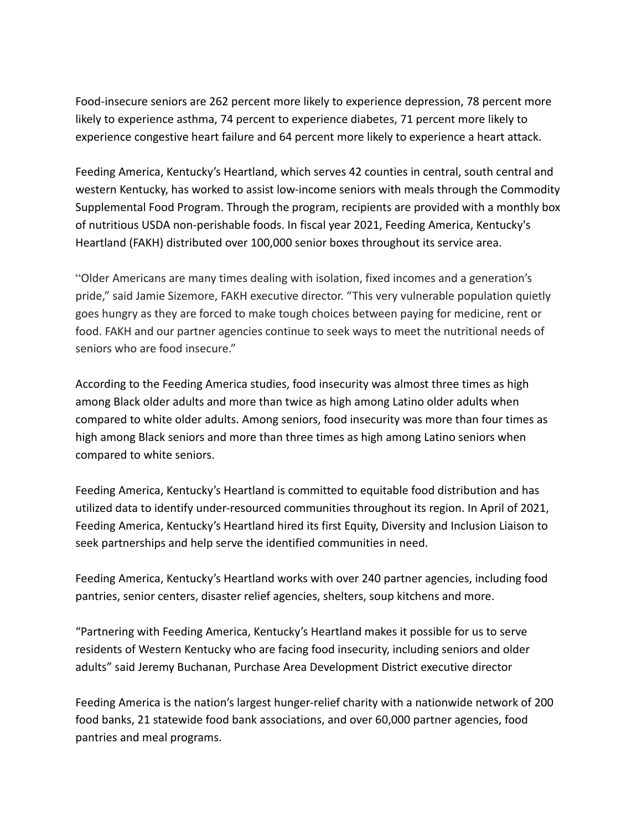Food-insecure seniors are 262 percent more likely to experience depression, 78 percent more likely to experience asthma, 74 percent to experience diabetes, 71 percent more likely to experience congestive heart failure and 64 percent more likely to experience a heart attack.

Feeding America, Kentucky's Heartland, which serves 42 counties in central, south central and western Kentucky, has worked to assist low-income seniors with meals through the Commodity Supplemental Food Program. Through the program, recipients are provided with a monthly box of nutritious USDA non-perishable foods. In fiscal year 2021, Feeding America, Kentucky's Heartland (FAKH) distributed over 100,000 senior boxes throughout its service area.

"Older Americans are many times dealing with isolation, fixed incomes and a generation's pride," said Jamie Sizemore, FAKH executive director. "This very vulnerable population quietly goes hungry as they are forced to make tough choices between paying for medicine, rent or food. FAKH and our partner agencies continue to seek ways to meet the nutritional needs of seniors who are food insecure."

According to the Feeding America studies, food insecurity was almost three times as high among Black older adults and more than twice as high among Latino older adults when compared to white older adults. Among seniors, food insecurity was more than four times as high among Black seniors and more than three times as high among Latino seniors when compared to white seniors.

Feeding America, Kentucky's Heartland is committed to equitable food distribution and has utilized data to identify under-resourced communities throughout its region. In April of 2021, Feeding America, Kentucky's Heartland hired its first Equity, Diversity and Inclusion Liaison to seek partnerships and help serve the identified communities in need.

Feeding America, Kentucky's Heartland works with over 240 partner agencies, including food pantries, senior centers, disaster relief agencies, shelters, soup kitchens and more.

"Partnering with Feeding America, Kentucky's Heartland makes it possible for us to serve residents of Western Kentucky who are facing food insecurity, including seniors and older adults" said Jeremy Buchanan, Purchase Area Development District executive director

Feeding America is the nation's largest hunger-relief charity with a nationwide network of 200 food banks, 21 statewide food bank associations, and over 60,000 partner agencies, food pantries and meal programs.